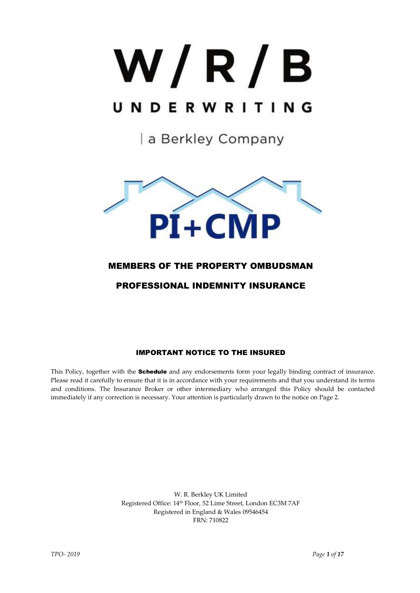# W/R/B UNDERWRITING

a Berkley Company



# MEMBERS OF THE PROPERTY OMBUDSMAN

# PROFESSIONAL INDEMNITY INSURANCE

# IMPORTANT NOTICE TO THE INSURED

This Policy, together with the **Schedule** and any endorsements form your legally binding contract of insurance. Please read it carefully to ensure that it is in accordance with your requirements and that you understand its terms and conditions. The Insurance Broker or other intermediary who arranged this Policy should be contacted immediately if any correction is necessary. Your attention is particularly drawn to the notice on Page 2.

> W. R. Berkley UK Limited Registered Office: 14th Floor, 52 Lime Street, London EC3M 7AF Registered in England & Wales 09546454 FRN: 710822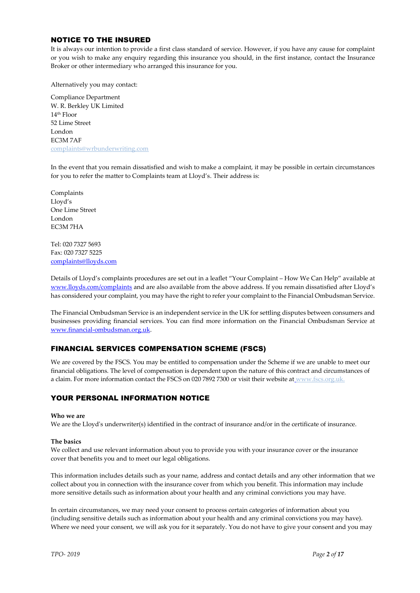# NOTICE TO THE INSURED

It is always our intention to provide a first class standard of service. However, if you have any cause for complaint or you wish to make any enquiry regarding this insurance you should, in the first instance, contact the Insurance Broker or other intermediary who arranged this insurance for you.

Alternatively you may contact:

Compliance Department W. R. Berkley UK Limited 14th Floor 52 Lime Street London EC3M 7AF [complaints@wrbunderwriting.com](mailto:complaints@wrbunderwriting.com)

In the event that you remain dissatisfied and wish to make a complaint, it may be possible in certain circumstances for you to refer the matter to Complaints team at Lloyd's. Their address is:

Complaints Lloyd's One Lime Street London EC3M 7HA

Tel: 020 7327 5693 Fax: 020 7327 5225 [complaints@lloyds.com](mailto:complaints@lloyds.com)

Details of Lloyd's complaints procedures are set out in a leaflet "Your Complaint – How We Can Help" available at [www.lloyds.com/complaints](http://www.lloyds.com/complaints) and are also available from the above address. If you remain dissatisfied after Lloyd's has considered your complaint, you may have the right to refer your complaint to the Financial Ombudsman Service.

The Financial Ombudsman Service is an independent service in the UK for settling disputes between consumers and businesses providing financial services. You can find more information on the Financial Ombudsman Service at [www.financial-ombudsman.org.uk.](http://www.financial-ombudsman.org.uk/)

# FINANCIAL SERVICES COMPENSATION SCHEME (FSCS)

We are covered by the FSCS. You may be entitled to compensation under the Scheme if we are unable to meet our financial obligations. The level of compensation is dependent upon the nature of this contract and circumstances of a claim. For more information contact the FSCS on 020 7892 7300 or visit their website at [www.fscs.org.uk.](http://www.fscs.org.uk/)

# YOUR PERSONAL INFORMATION NOTICE

#### **Who we are**

We are the Lloyd's underwriter(s) identified in the contract of insurance and/or in the certificate of insurance.

#### **The basics**

We collect and use relevant information about you to provide you with your insurance cover or the insurance cover that benefits you and to meet our legal obligations.

This information includes details such as your name, address and contact details and any other information that we collect about you in connection with the insurance cover from which you benefit. This information may include more sensitive details such as information about your health and any criminal convictions you may have.

In certain circumstances, we may need your consent to process certain categories of information about you (including sensitive details such as information about your health and any criminal convictions you may have). Where we need your consent, we will ask you for it separately. You do not have to give your consent and you may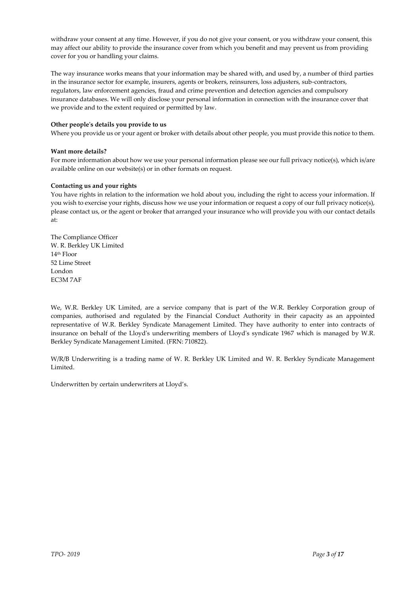withdraw your consent at any time. However, if you do not give your consent, or you withdraw your consent, this may affect our ability to provide the insurance cover from which you benefit and may prevent us from providing cover for you or handling your claims.

The way insurance works means that your information may be shared with, and used by, a number of third parties in the insurance sector for example, insurers, agents or brokers, reinsurers, loss adjusters, sub-contractors, regulators, law enforcement agencies, fraud and crime prevention and detection agencies and compulsory insurance databases. We will only disclose your personal information in connection with the insurance cover that we provide and to the extent required or permitted by law.

#### **Other people's details you provide to us**

Where you provide us or your agent or broker with details about other people, you must provide this notice to them.

#### **Want more details?**

For more information about how we use your personal information please see our full privacy notice(s), which is/are available online on our website(s) or in other formats on request.

#### **Contacting us and your rights**

You have rights in relation to the information we hold about you, including the right to access your information. If you wish to exercise your rights, discuss how we use your information or request a copy of our full privacy notice(s), please contact us, or the agent or broker that arranged your insurance who will provide you with our contact details at:

The Compliance Officer W. R. Berkley UK Limited 14th Floor 52 Lime Street London EC3M 7AF

We, W.R. Berkley UK Limited, are a service company that is part of the W.R. Berkley Corporation group of companies, authorised and regulated by the Financial Conduct Authority in their capacity as an appointed representative of W.R. Berkley Syndicate Management Limited. They have authority to enter into contracts of insurance on behalf of the Lloyd's underwriting members of Lloyd's syndicate 1967 which is managed by W.R. Berkley Syndicate Management Limited. (FRN: 710822).

W/R/B Underwriting is a trading name of W. R. Berkley UK Limited and W. R. Berkley Syndicate Management Limited.

Underwritten by certain underwriters at Lloyd's.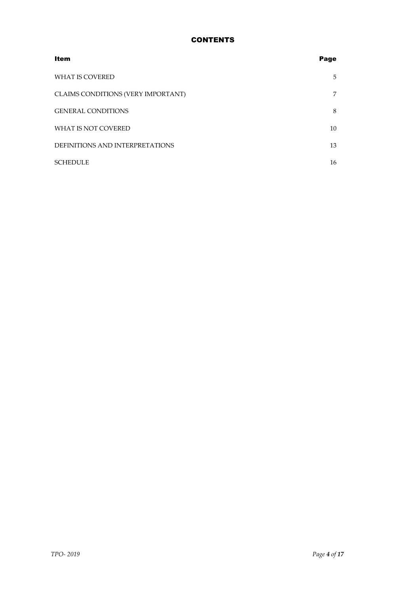# **CONTENTS**

| <b>Item</b>                        | Page |
|------------------------------------|------|
| <b>WHAT IS COVERED</b>             | 5    |
| CLAIMS CONDITIONS (VERY IMPORTANT) | 7    |
| <b>GENERAL CONDITIONS</b>          | 8    |
| WHAT IS NOT COVERED                | 10   |
| DEFINITIONS AND INTERPRETATIONS    | 13   |
| <b>SCHEDULE</b>                    | 16   |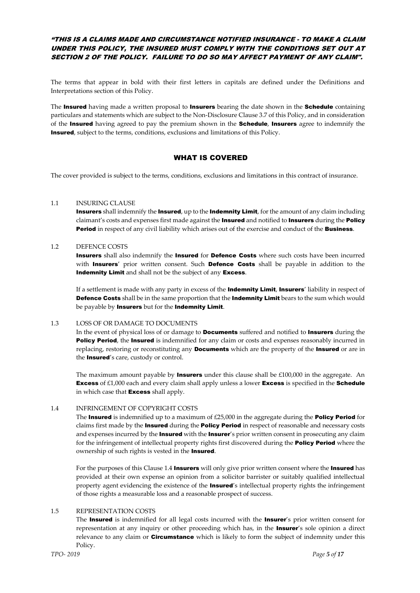# "THIS IS A CLAIMS MADE AND CIRCUMSTANCE NOTIFIED INSURANCE - TO MAKE A CLAIM UNDER THIS POLICY, THE INSURED MUST COMPLY WITH THE CONDITIONS SET OUT AT SECTION 2 OF THE POLICY. FAILURE TO DO SO MAY AFFECT PAYMENT OF ANY CLAIM".

The terms that appear in bold with their first letters in capitals are defined under the Definitions and Interpretations section of this Policy.

The **Insured** having made a written proposal to **Insurers** bearing the date shown in the **Schedule** containing particulars and statements which are subject to the Non-Disclosure Clause 3.7 of this Policy, and in consideration of the Insured having agreed to pay the premium shown in the **Schedule, Insurers** agree to indemnify the Insured, subject to the terms, conditions, exclusions and limitations of this Policy.

# WHAT IS COVERED

The cover provided is subject to the terms, conditions, exclusions and limitations in this contract of insurance.

#### 1.1 INSURING CLAUSE

Insurers shall indemnify the Insured, up to the Indemnity Limit, for the amount of any claim including claimant's costs and expenses first made against the **Insured** and notified to **Insurers** during the **Policy Period** in respect of any civil liability which arises out of the exercise and conduct of the **Business**.

#### 1.2 DEFENCE COSTS

Insurers shall also indemnify the Insured for Defence Costs where such costs have been incurred with Insurers' prior written consent. Such Defence Costs shall be payable in addition to the Indemnity Limit and shall not be the subject of any Excess.

If a settlement is made with any party in excess of the **Indemnity Limit, Insurers'** liability in respect of Defence Costs shall be in the same proportion that the Indemnity Limit bears to the sum which would be payable by Insurers but for the Indemnity Limit.

# 1.3 LOSS OF OR DAMAGE TO DOCUMENTS

In the event of physical loss of or damage to **Documents** suffered and notified to **Insurers** during the Policy Period, the Insured is indemnified for any claim or costs and expenses reasonably incurred in replacing, restoring or reconstituting any **Documents** which are the property of the **Insured** or are in the Insured's care, custody or control.

The maximum amount payable by **Insurers** under this clause shall be  $£100,000$  in the aggregate. An **Excess** of £1,000 each and every claim shall apply unless a lower **Excess** is specified in the **Schedule** in which case that **Excess** shall apply.

## 1.4 INFRINGEMENT OF COPYRIGHT COSTS

The Insured is indemnified up to a maximum of  $£25,000$  in the aggregate during the Policy Period for claims first made by the **Insured** during the **Policy Period** in respect of reasonable and necessary costs and expenses incurred by the **Insured** with the **Insurer'**s prior written consent in prosecuting any claim for the infringement of intellectual property rights first discovered during the Policy Period where the ownership of such rights is vested in the Insured.

For the purposes of this Clause 1.4 **Insurers** will only give prior written consent where the **Insured** has provided at their own expense an opinion from a solicitor barrister or suitably qualified intellectual property agent evidencing the existence of the **Insured'**s intellectual property rights the infringement of those rights a measurable loss and a reasonable prospect of success.

# 1.5 REPRESENTATION COSTS

The Insured is indemnified for all legal costs incurred with the Insurer's prior written consent for representation at any inquiry or other proceeding which has, in the **Insurer's** sole opinion a direct relevance to any claim or **Circumstance** which is likely to form the subject of indemnity under this Policy.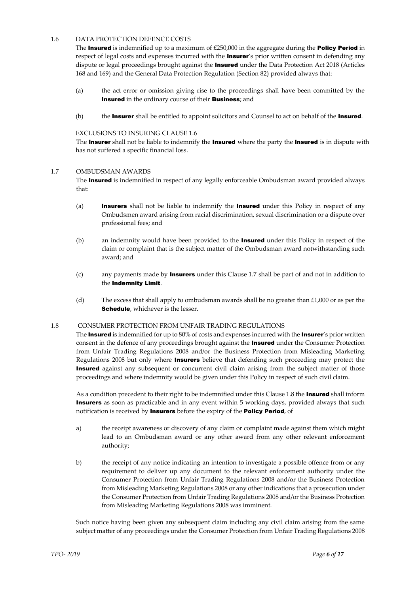## 1.6 DATA PROTECTION DEFENCE COSTS

The Insured is indemnified up to a maximum of £250,000 in the aggregate during the Policy Period in respect of legal costs and expenses incurred with the **Insurer'**s prior written consent in defending any dispute or legal proceedings brought against the **Insured** under the Data Protection Act 2018 (Articles 168 and 169) and the General Data Protection Regulation (Section 82) provided always that:

- (a) the act error or omission giving rise to the proceedings shall have been committed by the Insured in the ordinary course of their Business; and
- $(b)$  the Insurer shall be entitled to appoint solicitors and Counsel to act on behalf of the Insured.

## EXCLUSIONS TO INSURING CLAUSE 1.6

The Insurer shall not be liable to indemnify the Insured where the party the Insured is in dispute with has not suffered a specific financial loss.

## 1.7 OMBUDSMAN AWARDS

The Insured is indemnified in respect of any legally enforceable Ombudsman award provided always that:

- (a) **Insurers** shall not be liable to indemnify the **Insured** under this Policy in respect of any Ombudsmen award arising from racial discrimination, sexual discrimination or a dispute over professional fees; and
- (b) an indemnity would have been provided to the **Insured** under this Policy in respect of the claim or complaint that is the subject matter of the Ombudsman award notwithstanding such award; and
- (c) any payments made by **Insurers** under this Clause 1.7 shall be part of and not in addition to the Indemnity Limit.
- (d) The excess that shall apply to ombudsman awards shall be no greater than  $£1,000$  or as per the Schedule, whichever is the lesser.

## 1.8 CONSUMER PROTECTION FROM UNFAIR TRADING REGULATIONS

The Insured is indemnified for up to 80% of costs and expenses incurred with the Insurer's prior written consent in the defence of any proceedings brought against the **Insured** under the Consumer Protection from Unfair Trading Regulations 2008 and/or the Business Protection from Misleading Marketing Regulations 2008 but only where **Insurers** believe that defending such proceeding may protect the Insured against any subsequent or concurrent civil claim arising from the subject matter of those proceedings and where indemnity would be given under this Policy in respect of such civil claim.

As a condition precedent to their right to be indemnified under this Clause 1.8 the Insured shall inform Insurers as soon as practicable and in any event within 5 working days, provided always that such notification is received by Insurers before the expiry of the Policy Period, of

- a) the receipt awareness or discovery of any claim or complaint made against them which might lead to an Ombudsman award or any other award from any other relevant enforcement authority;
- b) the receipt of any notice indicating an intention to investigate a possible offence from or any requirement to deliver up any document to the relevant enforcement authority under the Consumer Protection from Unfair Trading Regulations 2008 and/or the Business Protection from Misleading Marketing Regulations 2008 or any other indications that a prosecution under the Consumer Protection from Unfair Trading Regulations 2008 and/or the Business Protection from Misleading Marketing Regulations 2008 was imminent.

Such notice having been given any subsequent claim including any civil claim arising from the same subject matter of any proceedings under the Consumer Protection from Unfair Trading Regulations 2008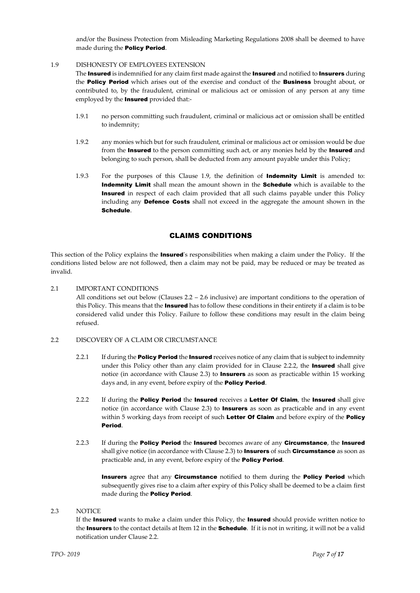and/or the Business Protection from Misleading Marketing Regulations 2008 shall be deemed to have made during the Policy Period.

# 1.9 DISHONESTY OF EMPLOYEES EXTENSION

The Insured is indemnified for any claim first made against the Insured and notified to Insurers during the **Policy Period** which arises out of the exercise and conduct of the **Business** brought about, or contributed to, by the fraudulent, criminal or malicious act or omission of any person at any time employed by the **Insured** provided that:-

- 1.9.1 no person committing such fraudulent, criminal or malicious act or omission shall be entitled to indemnity;
- 1.9.2 any monies which but for such fraudulent, criminal or malicious act or omission would be due from the **Insured** to the person committing such act, or any monies held by the **Insured** and belonging to such person, shall be deducted from any amount payable under this Policy;
- 1.9.3 For the purposes of this Clause 1.9, the definition of **Indemnity Limit** is amended to: Indemnity Limit shall mean the amount shown in the Schedule which is available to the Insured in respect of each claim provided that all such claims payable under this Policy including any Defence Costs shall not exceed in the aggregate the amount shown in the Schedule.

# CLAIMS CONDITIONS

This section of the Policy explains the **Insured**'s responsibilities when making a claim under the Policy. If the conditions listed below are not followed, then a claim may not be paid, may be reduced or may be treated as invalid.

2.1 IMPORTANT CONDITIONS

All conditions set out below (Clauses 2.2 – 2.6 inclusive) are important conditions to the operation of this Policy. This means that the **Insured** has to follow these conditions in their entirety if a claim is to be considered valid under this Policy. Failure to follow these conditions may result in the claim being refused.

- 2.2 DISCOVERY OF A CLAIM OR CIRCUMSTANCE
	- 2.2.1 If during the **Policy Period** the **Insured** receives notice of any claim that is subject to indemnity under this Policy other than any claim provided for in Clause 2.2.2, the **Insured** shall give notice (in accordance with Clause 2.3) to **Insurers** as soon as practicable within 15 working days and, in any event, before expiry of the **Policy Period**.
	- 2.2.2 If during the **Policy Period** the **Insured** receives a Letter Of Claim, the Insured shall give notice (in accordance with Clause 2.3) to **Insurers** as soon as practicable and in any event within 5 working days from receipt of such Letter Of Claim and before expiry of the Policy Period.
	- 2.2.3 If during the **Policy Period** the **Insured** becomes aware of any **Circumstance**, the **Insured** shall give notice (in accordance with Clause 2.3) to **Insurers** of such **Circumstance** as soon as practicable and, in any event, before expiry of the Policy Period.

Insurers agree that any Circumstance notified to them during the Policy Period which subsequently gives rise to a claim after expiry of this Policy shall be deemed to be a claim first made during the Policy Period.

## 2.3 NOTICE

If the Insured wants to make a claim under this Policy, the Insured should provide written notice to the Insurers to the contact details at Item 12 in the **Schedule**. If it is not in writing, it will not be a valid notification under Clause 2.2.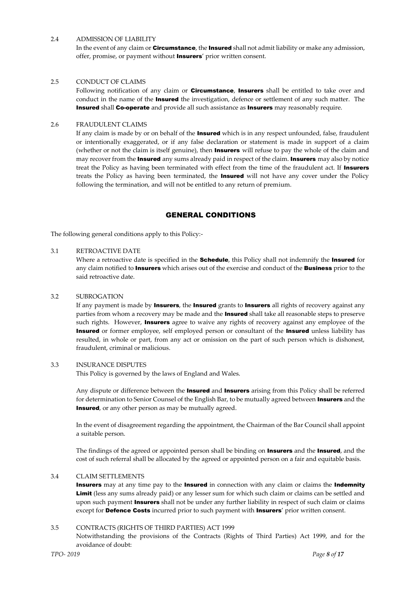#### 2.4 ADMISSION OF LIABILITY

In the event of any claim or Circumstance, the Insured shall not admit liability or make any admission, offer, promise, or payment without Insurers' prior written consent.

#### 2.5 CONDUCT OF CLAIMS

Following notification of any claim or **Circumstance, Insurers** shall be entitled to take over and conduct in the name of the **Insured** the investigation, defence or settlement of any such matter. The Insured shall Co-operate and provide all such assistance as Insurers may reasonably require.

#### 2.6 FRAUDULENT CLAIMS

If any claim is made by or on behalf of the **Insured** which is in any respect unfounded, false, fraudulent or intentionally exaggerated, or if any false declaration or statement is made in support of a claim (whether or not the claim is itself genuine), then **Insurers** will refuse to pay the whole of the claim and may recover from the **Insured** any sums already paid in respect of the claim. **Insurers** may also by notice treat the Policy as having been terminated with effect from the time of the fraudulent act. If Insurers treats the Policy as having been terminated, the Insured will not have any cover under the Policy following the termination, and will not be entitled to any return of premium.

# GENERAL CONDITIONS

The following general conditions apply to this Policy:-

#### 3.1 RETROACTIVE DATE

Where a retroactive date is specified in the **Schedule**, this Policy shall not indemnify the **Insured** for any claim notified to **Insurers** which arises out of the exercise and conduct of the **Business** prior to the said retroactive date.

#### 3.2 SUBROGATION

If any payment is made by **Insurers**, the **Insured** grants to **Insurers** all rights of recovery against any parties from whom a recovery may be made and the **Insured** shall take all reasonable steps to preserve such rights. However, **Insurers** agree to waive any rights of recovery against any employee of the Insured or former employee, self employed person or consultant of the Insured unless liability has resulted, in whole or part, from any act or omission on the part of such person which is dishonest, fraudulent, criminal or malicious.

#### 3.3 INSURANCE DISPUTES

This Policy is governed by the laws of England and Wales.

Any dispute or difference between the **Insured** and **Insurers** arising from this Policy shall be referred for determination to Senior Counsel of the English Bar, to be mutually agreed between **Insurers** and the **Insured**, or any other person as may be mutually agreed.

In the event of disagreement regarding the appointment, the Chairman of the Bar Council shall appoint a suitable person.

The findings of the agreed or appointed person shall be binding on **Insurers** and the **Insured**, and the cost of such referral shall be allocated by the agreed or appointed person on a fair and equitable basis.

#### 3.4 CLAIM SETTLEMENTS

Insurers may at any time pay to the Insured in connection with any claim or claims the Indemnity Limit (less any sums already paid) or any lesser sum for which such claim or claims can be settled and upon such payment **Insurers** shall not be under any further liability in respect of such claim or claims except for Defence Costs incurred prior to such payment with Insurers' prior written consent.

#### 3.5 CONTRACTS (RIGHTS OF THIRD PARTIES) ACT 1999

Notwithstanding the provisions of the Contracts (Rights of Third Parties) Act 1999, and for the avoidance of doubt: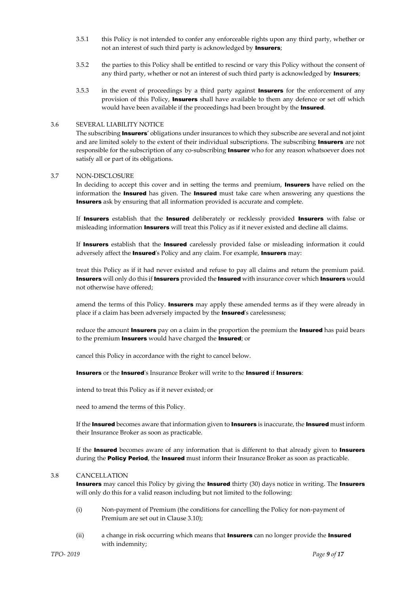- 3.5.1 this Policy is not intended to confer any enforceable rights upon any third party, whether or not an interest of such third party is acknowledged by **Insurers**;
- 3.5.2 the parties to this Policy shall be entitled to rescind or vary this Policy without the consent of any third party, whether or not an interest of such third party is acknowledged by **Insurers**;
- $3.5.3$  in the event of proceedings by a third party against **Insurers** for the enforcement of any provision of this Policy, **Insurers** shall have available to them any defence or set off which would have been available if the proceedings had been brought by the Insured.

#### 3.6 SEVERAL LIABILITY NOTICE

The subscribing **Insurers'** obligations under insurances to which they subscribe are several and not joint and are limited solely to the extent of their individual subscriptions. The subscribing **Insurers** are not responsible for the subscription of any co-subscribing **Insurer** who for any reason whatsoever does not satisfy all or part of its obligations.

#### 3.7 NON-DISCLOSURE

In deciding to accept this cover and in setting the terms and premium, **Insurers** have relied on the information the **Insured** has given. The **Insured** must take care when answering any questions the Insurers ask by ensuring that all information provided is accurate and complete.

If Insurers establish that the Insured deliberately or recklessly provided Insurers with false or misleading information **Insurers** will treat this Policy as if it never existed and decline all claims.

If **Insurers** establish that the **Insured** carelessly provided false or misleading information it could adversely affect the **Insured**'s Policy and any claim. For example, **Insurers** may:

treat this Policy as if it had never existed and refuse to pay all claims and return the premium paid. Insurers will only do this if Insurers provided the Insured with insurance cover which Insurers would not otherwise have offered;

amend the terms of this Policy. **Insurers** may apply these amended terms as if they were already in place if a claim has been adversely impacted by the **Insured'**s carelessness;

reduce the amount **Insurers** pay on a claim in the proportion the premium the **Insured** has paid bears to the premium **Insurers** would have charged the **Insured**; or

cancel this Policy in accordance with the right to cancel below.

Insurers or the Insured's Insurance Broker will write to the Insured if Insurers:

intend to treat this Policy as if it never existed; or

need to amend the terms of this Policy.

If the Insured becomes aware that information given to Insurers is inaccurate, the Insured must inform their Insurance Broker as soon as practicable.

If the Insured becomes aware of any information that is different to that already given to Insurers during the **Policy Period**, the **Insured** must inform their Insurance Broker as soon as practicable.

#### 3.8 CANCELLATION

Insurers may cancel this Policy by giving the Insured thirty (30) days notice in writing. The Insurers will only do this for a valid reason including but not limited to the following:

- (i) Non-payment of Premium (the conditions for cancelling the Policy for non-payment of Premium are set out in Clause 3.10);
- (ii) a change in risk occurring which means that **Insurers** can no longer provide the **Insured** with indemnity;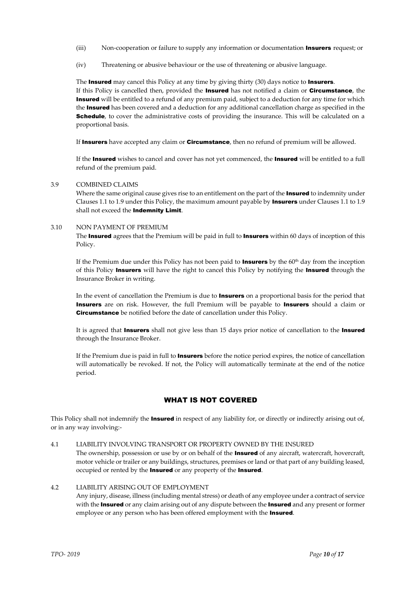- (iii) Non-cooperation or failure to supply any information or documentation **Insurers** request; or
- (iv) Threatening or abusive behaviour or the use of threatening or abusive language.

The **Insured** may cancel this Policy at any time by giving thirty (30) days notice to **Insurers**. If this Policy is cancelled then, provided the **Insured** has not notified a claim or **Circumstance**, the **Insured** will be entitled to a refund of any premium paid, subject to a deduction for any time for which the Insured has been covered and a deduction for any additional cancellation charge as specified in the **Schedule**, to cover the administrative costs of providing the insurance. This will be calculated on a proportional basis.

If Insurers have accepted any claim or Circumstance, then no refund of premium will be allowed.

If the Insured wishes to cancel and cover has not yet commenced, the Insured will be entitled to a full refund of the premium paid.

#### 3.9 COMBINED CLAIMS

Where the same original cause gives rise to an entitlement on the part of the **Insured** to indemnity under Clauses 1.1 to 1.9 under this Policy, the maximum amount payable by **Insurers** under Clauses 1.1 to 1.9 shall not exceed the **Indemnity Limit**.

#### 3.10 NON PAYMENT OF PREMIUM

The Insured agrees that the Premium will be paid in full to Insurers within 60 days of inception of this Policy.

If the Premium due under this Policy has not been paid to **Insurers** by the  $60<sup>th</sup>$  day from the inception of this Policy Insurers will have the right to cancel this Policy by notifying the Insured through the Insurance Broker in writing.

In the event of cancellation the Premium is due to **Insurers** on a proportional basis for the period that Insurers are on risk. However, the full Premium will be payable to Insurers should a claim or Circumstance be notified before the date of cancellation under this Policy.

It is agreed that **Insurers** shall not give less than 15 days prior notice of cancellation to the **Insured** through the Insurance Broker.

If the Premium due is paid in full to **Insurers** before the notice period expires, the notice of cancellation will automatically be revoked. If not, the Policy will automatically terminate at the end of the notice period.

# WHAT IS NOT COVERED

This Policy shall not indemnify the **Insured** in respect of any liability for, or directly or indirectly arising out of, or in any way involving:-

4.1 LIABILITY INVOLVING TRANSPORT OR PROPERTY OWNED BY THE INSURED

The ownership, possession or use by or on behalf of the **Insured** of any aircraft, watercraft, hovercraft, motor vehicle or trailer or any buildings, structures, premises or land or that part of any building leased, occupied or rented by the **Insured** or any property of the **Insured**.

#### 4.2 LIABILITY ARISING OUT OF EMPLOYMENT

Any injury, disease, illness (including mental stress) or death of any employee under a contract of service with the Insured or any claim arising out of any dispute between the Insured and any present or former employee or any person who has been offered employment with the **Insured**.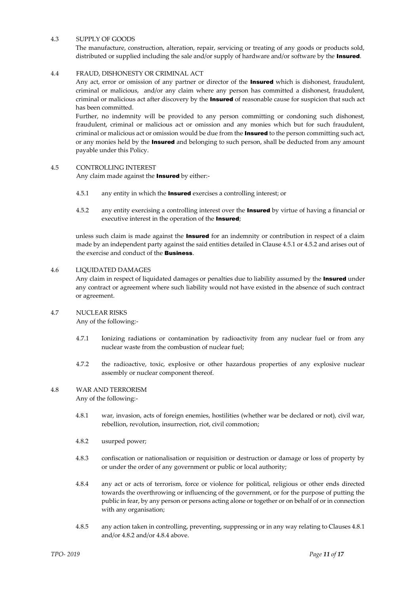#### 4.3 SUPPLY OF GOODS

The manufacture, construction, alteration, repair, servicing or treating of any goods or products sold, distributed or supplied including the sale and/or supply of hardware and/or software by the Insured.

#### 4.4 FRAUD, DISHONESTY OR CRIMINAL ACT

Any act, error or omission of any partner or director of the **Insured** which is dishonest, fraudulent, criminal or malicious, and/or any claim where any person has committed a dishonest, fraudulent, criminal or malicious act after discovery by the **Insured** of reasonable cause for suspicion that such act has been committed.

Further, no indemnity will be provided to any person committing or condoning such dishonest, fraudulent, criminal or malicious act or omission and any monies which but for such fraudulent, criminal or malicious act or omission would be due from the **Insured** to the person committing such act, or any monies held by the **Insured** and belonging to such person, shall be deducted from any amount payable under this Policy.

#### 4.5 CONTROLLING INTEREST

Any claim made against the **Insured** by either:-

- 4.5.1 any entity in which the **Insured** exercises a controlling interest; or
- 4.5.2 any entity exercising a controlling interest over the **Insured** by virtue of having a financial or executive interest in the operation of the Insured;

unless such claim is made against the **Insured** for an indemnity or contribution in respect of a claim made by an independent party against the said entities detailed in Clause 4.5.1 or 4.5.2 and arises out of the exercise and conduct of the Business.

#### 4.6 LIQUIDATED DAMAGES

Any claim in respect of liquidated damages or penalties due to liability assumed by the Insured under any contract or agreement where such liability would not have existed in the absence of such contract or agreement.

#### 4.7 NUCLEAR RISKS

Any of the following:-

- 4.7.1 Ionizing radiations or contamination by radioactivity from any nuclear fuel or from any nuclear waste from the combustion of nuclear fuel;
- 4.7.2 the radioactive, toxic, explosive or other hazardous properties of any explosive nuclear assembly or nuclear component thereof.

#### 4.8 WAR AND TERRORISM

Any of the following:-

- 4.8.1 war, invasion, acts of foreign enemies, hostilities (whether war be declared or not), civil war, rebellion, revolution, insurrection, riot, civil commotion;
- 4.8.2 usurped power;
- 4.8.3 confiscation or nationalisation or requisition or destruction or damage or loss of property by or under the order of any government or public or local authority;
- 4.8.4 any act or acts of terrorism, force or violence for political, religious or other ends directed towards the overthrowing or influencing of the government, or for the purpose of putting the public in fear, by any person or persons acting alone or together or on behalf of or in connection with any organisation;
- 4.8.5 any action taken in controlling, preventing, suppressing or in any way relating to Clauses 4.8.1 and/or 4.8.2 and/or 4.8.4 above.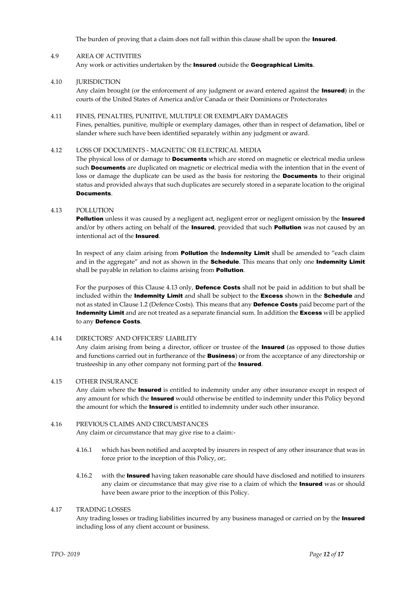The burden of proving that a claim does not fall within this clause shall be upon the **Insured**.

## 4.9 AREA OF ACTIVITIES

Any work or activities undertaken by the Insured outside the Geographical Limits.

4.10 **IURISDICTION** 

Any claim brought (or the enforcement of any judgment or award entered against the **Insured**) in the courts of the United States of America and/or Canada or their Dominions or Protectorates

4.11 FINES, PENALTIES, PUNITIVE, MULTIPLE OR EXEMPLARY DAMAGES Fines, penalties, punitive, multiple or exemplary damages, other than in respect of defamation, libel or slander where such have been identified separately within any judgment or award.

## 4.12 LOSS OF DOCUMENTS - MAGNETIC OR ELECTRICAL MEDIA

The physical loss of or damage to **Documents** which are stored on magnetic or electrical media unless such **Documents** are duplicated on magnetic or electrical media with the intention that in the event of loss or damage the duplicate can be used as the basis for restoring the **Documents** to their original status and provided always that such duplicates are securely stored in a separate location to the original Documents.

#### 4.13 POLLUTION

**Pollution** unless it was caused by a negligent act, negligent error or negligent omission by the **Insured** and/or by others acting on behalf of the Insured, provided that such Pollution was not caused by an intentional act of the Insured.

In respect of any claim arising from **Pollution** the **Indemnity Limit** shall be amended to "each claim and in the aggregate" and not as shown in the **Schedule**. This means that only one **Indemnity Limit** shall be payable in relation to claims arising from **Pollution**.

For the purposes of this Clause 4.13 only, Defence Costs shall not be paid in addition to but shall be included within the **Indemnity Limit** and shall be subject to the **Excess** shown in the **Schedule** and not as stated in Clause 1.2 (Defence Costs). This means that any **Defence Costs** paid become part of the Indemnity Limit and are not treated as a separate financial sum. In addition the Excess will be applied to any Defence Costs.

#### 4.14 DIRECTORS' AND OFFICERS' LIABILITY

Any claim arising from being a director, officer or trustee of the **Insured** (as opposed to those duties and functions carried out in furtherance of the **Business**) or from the acceptance of any directorship or trusteeship in any other company not forming part of the Insured.

#### 4.15 OTHER INSURANCE

Any claim where the **Insured** is entitled to indemnity under any other insurance except in respect of any amount for which the **Insured** would otherwise be entitled to indemnity under this Policy beyond the amount for which the **Insured** is entitled to indemnity under such other insurance.

## 4.16 PREVIOUS CLAIMS AND CIRCUMSTANCES

Any claim or circumstance that may give rise to a claim:-

- 4.16.1 which has been notified and accepted by insurers in respect of any other insurance that was in force prior to the inception of this Policy, or;.
- 4.16.2 with the **Insured** having taken reasonable care should have disclosed and notified to insurers any claim or circumstance that may give rise to a claim of which the **Insured** was or should have been aware prior to the inception of this Policy.

#### 4.17 TRADING LOSSES

Any trading losses or trading liabilities incurred by any business managed or carried on by the **Insured** including loss of any client account or business.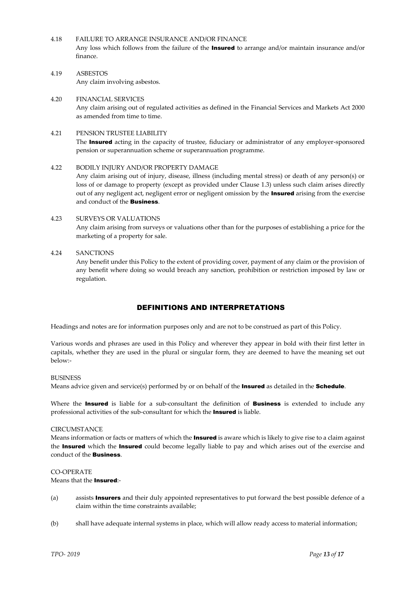4.18 FAILURE TO ARRANGE INSURANCE AND/OR FINANCE

Any loss which follows from the failure of the **Insured** to arrange and/or maintain insurance and/or finance.

4.19 ASBESTOS Any claim involving asbestos.

# 4.20 FINANCIAL SERVICES

Any claim arising out of regulated activities as defined in the Financial Services and Markets Act 2000 as amended from time to time.

## 4.21 PENSION TRUSTEE LIABILITY

The **Insured** acting in the capacity of trustee, fiduciary or administrator of any employer-sponsored pension or superannuation scheme or superannuation programme.

# 4.22 BODILY INJURY AND/OR PROPERTY DAMAGE

Any claim arising out of injury, disease, illness (including mental stress) or death of any person(s) or loss of or damage to property (except as provided under Clause 1.3) unless such claim arises directly out of any negligent act, negligent error or negligent omission by the **Insured** arising from the exercise and conduct of the Business.

# 4.23 SURVEYS OR VALUATIONS

Any claim arising from surveys or valuations other than for the purposes of establishing a price for the marketing of a property for sale.

## 4.24 SANCTIONS

Any benefit under this Policy to the extent of providing cover, payment of any claim or the provision of any benefit where doing so would breach any sanction, prohibition or restriction imposed by law or regulation.

# DEFINITIONS AND INTERPRETATIONS

Headings and notes are for information purposes only and are not to be construed as part of this Policy.

Various words and phrases are used in this Policy and wherever they appear in bold with their first letter in capitals, whether they are used in the plural or singular form, they are deemed to have the meaning set out below:-

#### BUSINESS

Means advice given and service(s) performed by or on behalf of the **Insured** as detailed in the **Schedule**.

Where the **Insured** is liable for a sub-consultant the definition of **Business** is extended to include any professional activities of the sub-consultant for which the Insured is liable.

#### **CIRCUMSTANCE**

Means information or facts or matters of which the **Insured** is aware which is likely to give rise to a claim against the Insured which the Insured could become legally liable to pay and which arises out of the exercise and conduct of the Business.

# CO-OPERATE

Means that the Insured:-

- (a) assists **Insurers** and their duly appointed representatives to put forward the best possible defence of a claim within the time constraints available;
- (b) shall have adequate internal systems in place, which will allow ready access to material information;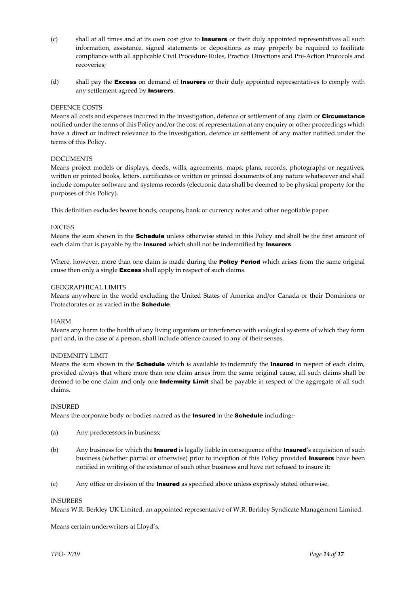- $(c)$  shall at all times and at its own cost give to **Insurers** or their duly appointed representatives all such information, assistance, signed statements or depositions as may properly be required to facilitate compliance with all applicable Civil Procedure Rules, Practice Directions and Pre-Action Protocols and recoveries;
- (d) shall pay the **Excess** on demand of **Insurers** or their duly appointed representatives to comply with any settlement agreed by **Insurers**.

#### DEFENCE COSTS

Means all costs and expenses incurred in the investigation, defence or settlement of any claim or Circumstance notified under the terms of this Policy and/or the cost of representation at any enquiry or other proceedings which have a direct or indirect relevance to the investigation, defence or settlement of any matter notified under the terms of this Policy.

#### DOCUMENTS

Means project models or displays, deeds, wills, agreements, maps, plans, records, photographs or negatives, written or printed books, letters, certificates or written or printed documents of any nature whatsoever and shall include computer software and systems records (electronic data shall be deemed to be physical property for the purposes of this Policy).

This definition excludes bearer bonds, coupons, bank or currency notes and other negotiable paper.

#### **EXCESS**

Means the sum shown in the **Schedule** unless otherwise stated in this Policy and shall be the first amount of each claim that is payable by the **Insured** which shall not be indemnified by **Insurers**.

Where, however, more than one claim is made during the **Policy Period** which arises from the same original cause then only a single **Excess** shall apply in respect of such claims.

#### GEOGRAPHICAL LIMITS

Means anywhere in the world excluding the United States of America and/or Canada or their Dominions or Protectorates or as varied in the **Schedule**.

#### HARM

Means any harm to the health of any living organism or interference with ecological systems of which they form part and, in the case of a person, shall include offence caused to any of their senses.

## INDEMNITY LIMIT

Means the sum shown in the **Schedule** which is available to indemnify the **Insured** in respect of each claim, provided always that where more than one claim arises from the same original cause, all such claims shall be deemed to be one claim and only one **Indemnity Limit** shall be payable in respect of the aggregate of all such claims.

#### INSURED

Means the corporate body or bodies named as the **Insured** in the **Schedule** including:-

- (a) Any predecessors in business;
- (b) Any business for which the Insured is legally liable in consequence of the Insured's acquisition of such business (whether partial or otherwise) prior to inception of this Policy provided **Insurers** have been notified in writing of the existence of such other business and have not refused to insure it;
- (c) Any office or division of the Insured as specified above unless expressly stated otherwise.

#### INSURERS

Means W.R. Berkley UK Limited, an appointed representative of W.R. Berkley Syndicate Management Limited.

Means certain underwriters at Lloyd's.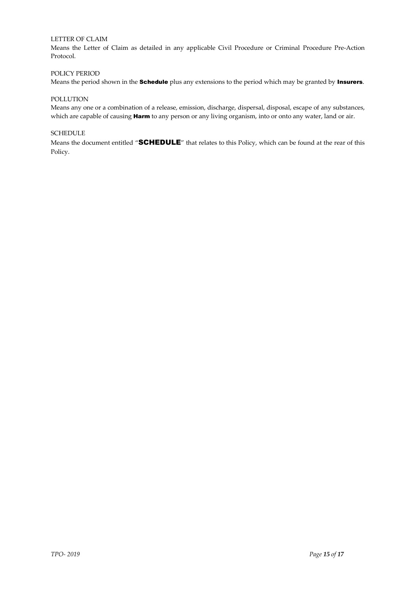# LETTER OF CLAIM

Means the Letter of Claim as detailed in any applicable Civil Procedure or Criminal Procedure Pre-Action Protocol.

# POLICY PERIOD

Means the period shown in the **Schedule** plus any extensions to the period which may be granted by **Insurers**.

# POLLUTION

Means any one or a combination of a release, emission, discharge, dispersal, disposal, escape of any substances, which are capable of causing **Harm** to any person or any living organism, into or onto any water, land or air.

#### **SCHEDULE**

Means the document entitled "SCHEDULE" that relates to this Policy, which can be found at the rear of this Policy.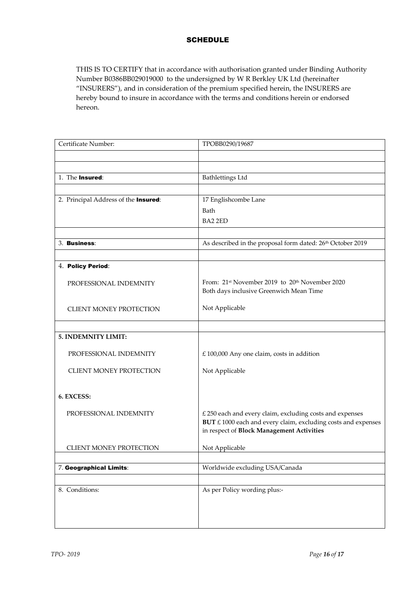# **SCHEDULE**

THIS IS TO CERTIFY that in accordance with authorisation granted under Binding Authority Number B0386BB029019000 to the undersigned by W R Berkley UK Ltd (hereinafter "INSURERS"), and in consideration of the premium specified herein, the INSURERS are hereby bound to insure in accordance with the terms and conditions herein or endorsed hereon.

| Certificate Number:                  | TPOBB0290/19687                                                         |
|--------------------------------------|-------------------------------------------------------------------------|
|                                      |                                                                         |
|                                      |                                                                         |
| 1. The Insured:                      | <b>Bathlettings Ltd</b>                                                 |
|                                      |                                                                         |
| 2. Principal Address of the Insured: | 17 Englishcombe Lane                                                    |
|                                      | Bath                                                                    |
|                                      | BA2 2ED                                                                 |
|                                      |                                                                         |
| 3. Business:                         | As described in the proposal form dated: 26th October 2019              |
|                                      |                                                                         |
| 4. Policy Period:                    |                                                                         |
| PROFESSIONAL INDEMNITY               | From: 21 <sup>st</sup> November 2019 to 20 <sup>th</sup> November 2020  |
|                                      | Both days inclusive Greenwich Mean Time                                 |
| <b>CLIENT MONEY PROTECTION</b>       | Not Applicable                                                          |
|                                      |                                                                         |
|                                      |                                                                         |
| 5. INDEMNITY LIMIT:                  |                                                                         |
| PROFESSIONAL INDEMNITY               | $£$ 100,000 Any one claim, costs in addition                            |
|                                      |                                                                         |
| <b>CLIENT MONEY PROTECTION</b>       | Not Applicable                                                          |
|                                      |                                                                         |
| 6. EXCESS:                           |                                                                         |
| PROFESSIONAL INDEMNITY               | £ 250 each and every claim, excluding costs and expenses                |
|                                      | $BUT \n\pounds 1000$ each and every claim, excluding costs and expenses |
|                                      | in respect of Block Management Activities                               |
| <b>CLIENT MONEY PROTECTION</b>       | Not Applicable                                                          |
|                                      |                                                                         |
| 7. Geographical Limits:              | Worldwide excluding USA/Canada                                          |
|                                      |                                                                         |
| 8. Conditions:                       | As per Policy wording plus:-                                            |
|                                      |                                                                         |
|                                      |                                                                         |
|                                      |                                                                         |